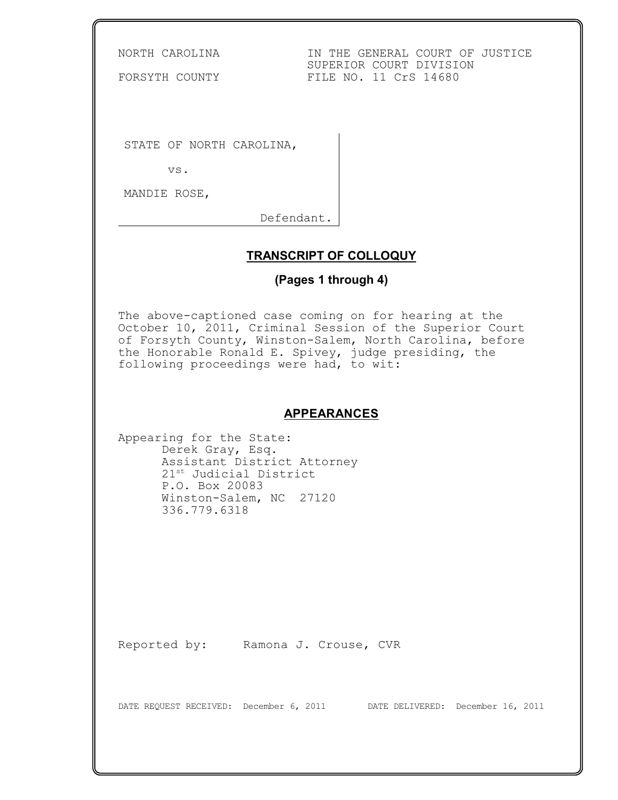NORTH CAROLINA IN THE GENERAL COURT OF JUSTICE SUPERIOR COURT DIVISION<br>FILE NO. 11 CrS 14680

FORSYTH COUNTY

STATE OF NORTH CAROLINA,

vs.

MANDIE ROSE,

Defendant.

## **TRANSCRIPT OF COLLOQUY**

# **(Pages 1 through 4)**

The above-captioned case coming on for hearing at the October 10, 2011, Criminal Session of the Superior Court of Forsyth County, Winston-Salem, North Carolina, before the Honorable Ronald E. Spivey, judge presiding, the following proceedings were had, to wit:

### **APPEARANCES**

Appearing for the State: Derek Gray, Esq. Assistant District Attorney 21<sup>st</sup> Judicial District P.O. Box 20083 Winston-Salem, NC 27120 336.779.6318

Reported by: Ramona J. Crouse, CVR

DATE REQUEST RECEIVED: December 6, 2011 DATE DELIVERED: December 16, 2011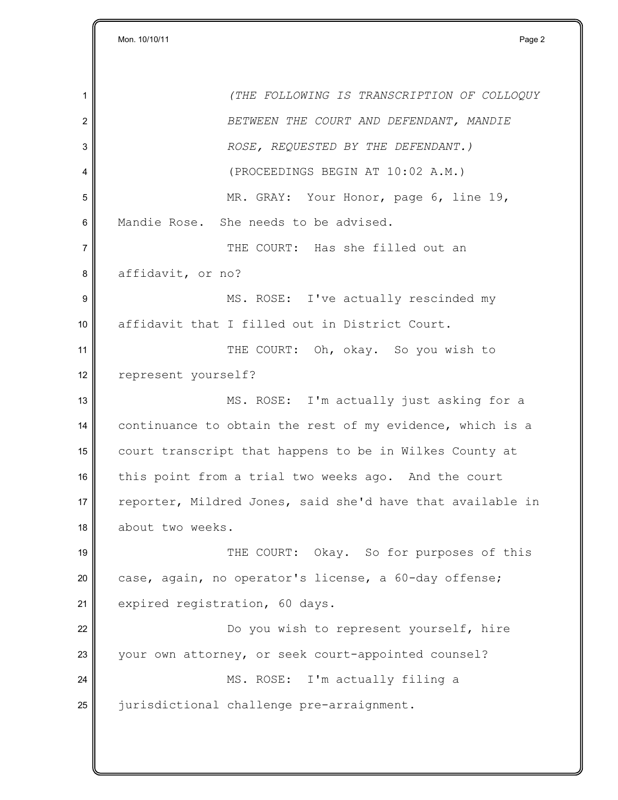1 *(THE FOLLOWING IS TRANSCRIPTION OF COLLOQUY* 2 *BETWEEN THE COURT AND DEFENDANT, MANDIE* 3 *ROSE, REQUESTED BY THE DEFENDANT.)* 4 (PROCEEDINGS BEGIN AT 10:02 A.M.) 5 MR. GRAY: Your Honor, page 6, line 19, 6 Mandie Rose. She needs to be advised. 7 THE COURT: Has she filled out an 8 affidavit, or no? 9 MS. ROSE: I've actually rescinded my 10 affidavit that I filled out in District Court. 11 THE COURT: Oh, okay. So you wish to 12 || represent yourself? 13 || MS. ROSE: I'm actually just asking for a 14 continuance to obtain the rest of my evidence, which is a 15 court transcript that happens to be in Wilkes County at 16 this point from a trial two weeks ago. And the court 17 reporter, Mildred Jones, said she'd have that available in 18 about two weeks. 19 THE COURT: Okay. So for purposes of this 20 case, again, no operator's license, a 60-day offense; 21 expired registration, 60 days. 22 **Do you wish to represent yourself, hire** 23 your own attorney, or seek court-appointed counsel? 24 MS. ROSE: I'm actually filing a 25 iurisdictional challenge pre-arraignment.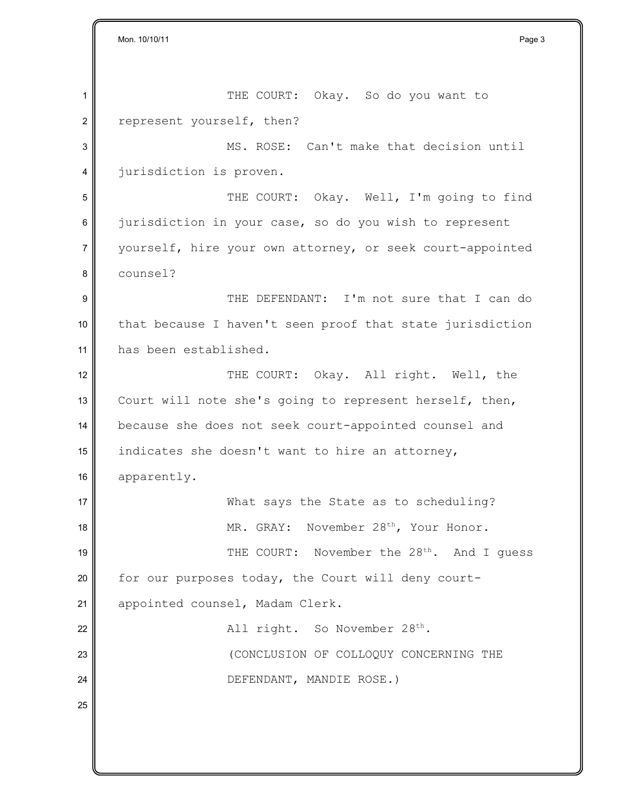Mon. 10/10/11 Page 3 1 || THE COURT: Okay. So do you want to 2 represent yourself, then? 3 MS. ROSE: Can't make that decision until 4 *jurisdiction* is proven. 5 || THE COURT: Okay. Well, I'm going to find  $6$  jurisdiction in your case, so do you wish to represent 7 yourself, hire your own attorney, or seek court-appointed 8 counsel? 9 THE DEFENDANT: I'm not sure that I can do  $10$  that because I haven't seen proof that state jurisdiction 11 has been established. 12 THE COURT: Okay. All right. Well, the 13 Court will note she's going to represent herself, then, 14 because she does not seek court-appointed counsel and 15 indicates she doesn't want to hire an attorney, 16 apparently. 17 What says the State as to scheduling? 18  $\parallel$  MR. GRAY: November 28<sup>th</sup>, Your Honor. 19  $\parallel$  THE COURT: November the 28<sup>th</sup>. And I guess 20 for our purposes today, the Court will deny court-21 || appointed counsel, Madam Clerk. 22  $\parallel$  all right. So November 28<sup>th</sup>. 23 CONCLUSION OF COLLOQUY CONCERNING THE 24 || DEFENDANT, MANDIE ROSE.) 25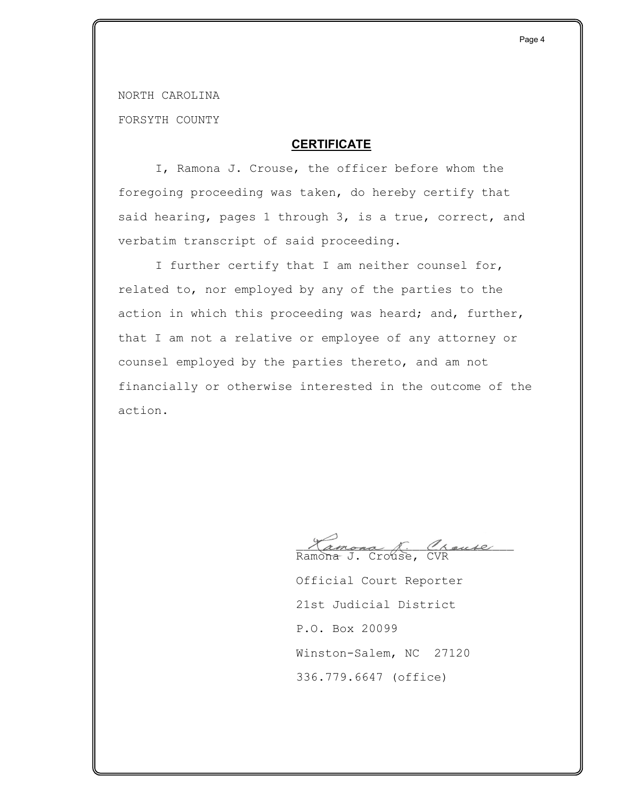NORTH CAROLINA

FORSYTH COUNTY

## **CERTIFICATE**

I, Ramona J. Crouse, the officer before whom the foregoing proceeding was taken, do hereby certify that said hearing, pages 1 through 3, is a true, correct, and verbatim transcript of said proceeding.

I further certify that I am neither counsel for, related to, nor employed by any of the parties to the action in which this proceeding was heard; and, further, that I am not a relative or employee of any attorney or counsel employed by the parties thereto, and am not financially or otherwise interested in the outcome of the action.

Tamona R. Crause Ramona J. Crouse, CVR

Official Court Reporter 21st Judicial District P.O. Box 20099 Winston-Salem, NC 27120 336.779.6647 (office)